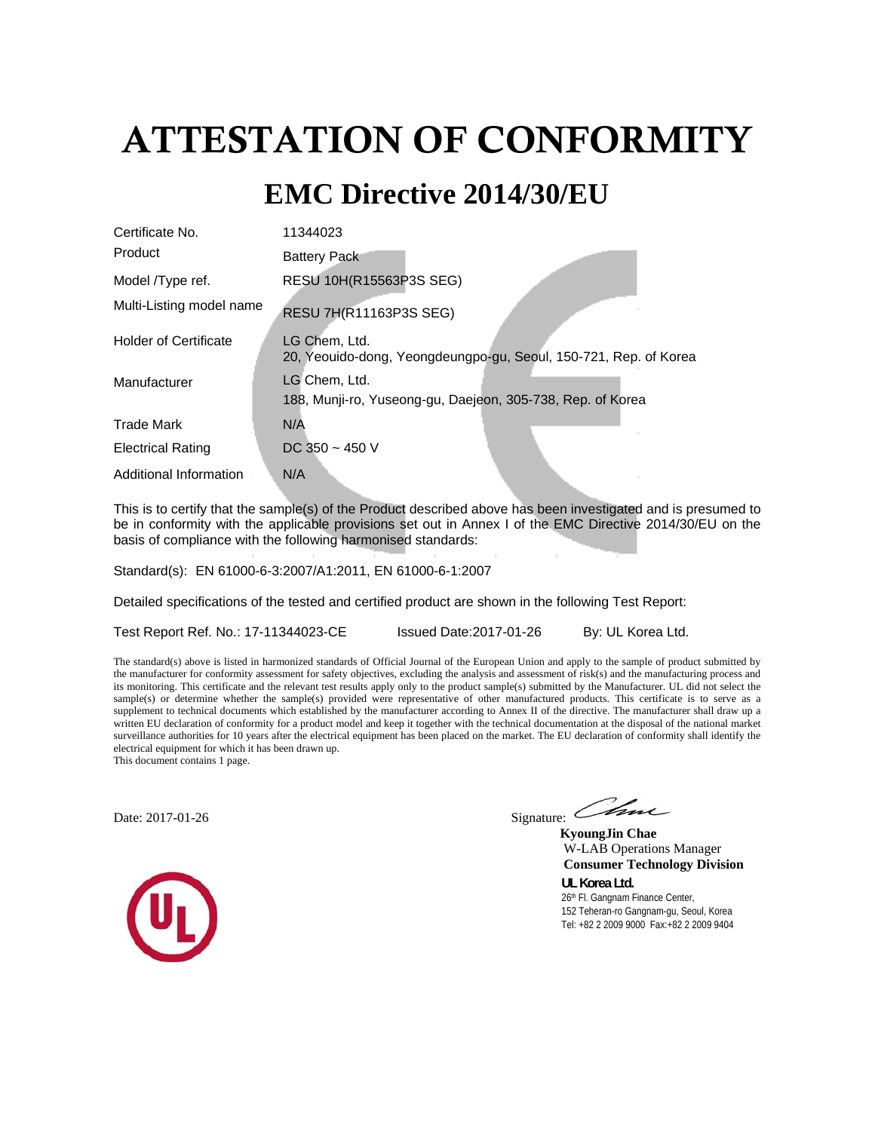# ATTESTATION OF CONFORMITY

## **EMC Directive 2014/30/EU**

| Certificate No.              | 11344023                                                                          |
|------------------------------|-----------------------------------------------------------------------------------|
| Product                      | <b>Battery Pack</b>                                                               |
| Model <i>Type</i> ref.       | RESU 10H(R15563P3S SEG)                                                           |
| Multi-Listing model name     | <b>RESU 7H(R11163P3S SEG)</b>                                                     |
| <b>Holder of Certificate</b> | LG Chem, Ltd.<br>20, Yeouido-dong, Yeongdeungpo-gu, Seoul, 150-721, Rep. of Korea |
| Manufacturer                 | LG Chem, Ltd.<br>188, Munji-ro, Yuseong-gu, Daejeon, 305-738, Rep. of Korea       |
| <b>Trade Mark</b>            | N/A                                                                               |
| <b>Electrical Rating</b>     | DC 350 $\sim$ 450 V                                                               |
| Additional Information       | N/A                                                                               |

This is to certify that the sample(s) of the Product described above has been investigated and is presumed to be in conformity with the applicable provisions set out in Annex I of the EMC Directive 2014/30/EU on the basis of compliance with the following harmonised standards:

Standard(s): EN 61000-6-3:2007/A1:2011, EN 61000-6-1:2007

Detailed specifications of the tested and certified product are shown in the following Test Report:

Test Report Ref. No.: 17-11344023-CE Issued Date: 2017-01-26 By: UL Korea Ltd.

The standard(s) above is listed in harmonized standards of Official Journal of the European Union and apply to the sample of product submitted by the manufacturer for conformity assessment for safety objectives, excluding the analysis and assessment of risk(s) and the manufacturing process and its monitoring. This certificate and the relevant test results apply only to the product sample(s) submitted by the Manufacturer. UL did not select the sample(s) or determine whether the sample(s) provided were representative of other manufactured products. This certificate is to serve as a supplement to technical documents which established by the manufacturer according to Annex II of the directive. The manufacturer shall draw up a written EU declaration of conformity for a product model and keep it together with the technical documentation at the disposal of the national market surveillance authorities for 10 years after the electrical equipment has been placed on the market. The EU declaration of conformity shall identify the electrical equipment for which it has been drawn up. This document contains 1 page.

Date: 2017-01-26 Signature: Com

 **KyoungJin Chae** W-LAB Operations Manager  **Consumer Technology Division** 

**UL Korea Ltd.**  26th Fl. Gangnam Finance Center, 152 Teheran-ro Gangnam-gu, Seoul, Korea Tel: +82 2 2009 9000 Fax:+82 2 2009 9404

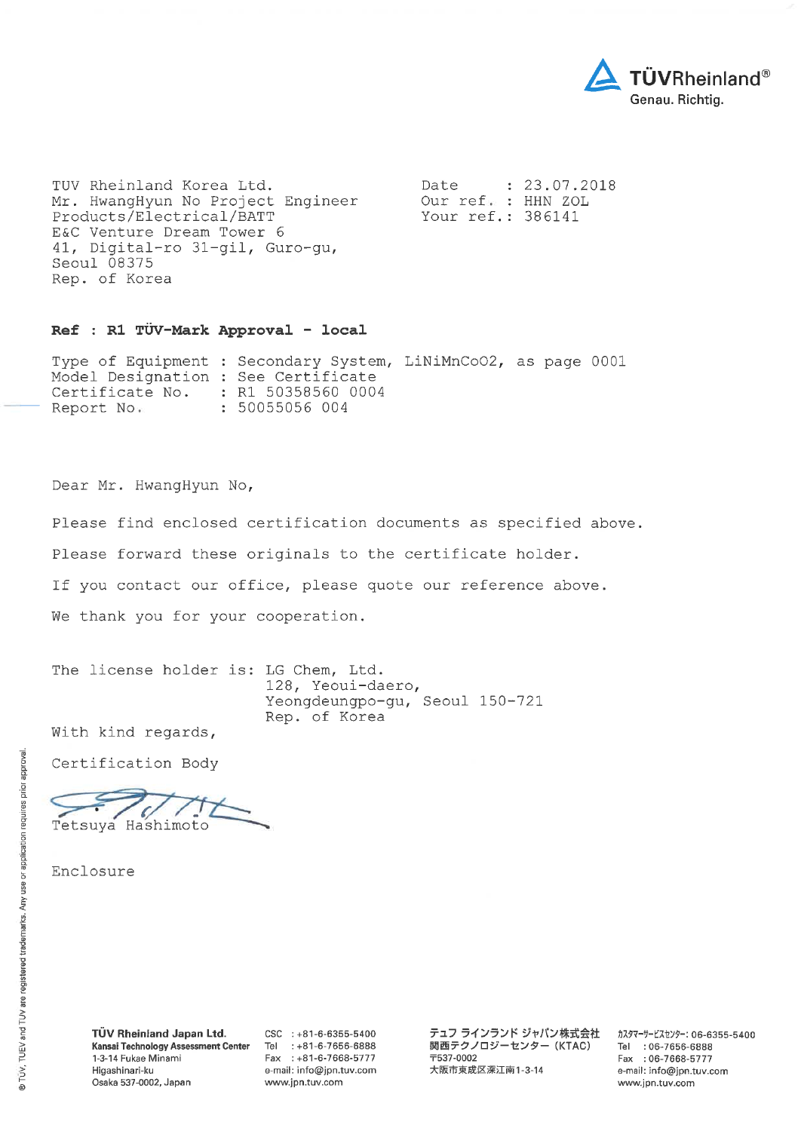

TUV Rheinland Korea Ltd. Mr. HwangHyun No Project Engineer Products/Electrical/BATT E&C Venture Dream Tower 6 41, Digital-ro 31-gil, Guro-gu, Seoul 08375 Rep. of Korea

Date  $: 23.07.2018$ Our ref. : HHN ZOL Your ref.: 386141

#### Ref : R1 TÜV-Mark Approval - local

Type of Equipment : Secondary System, LiNiMnCoO2, as page 0001 Model Designation : See Certificate : R1 50358560 0004 Certificate No. Report No. : 50055056 004

Dear Mr. HwangHyun No,

Please find enclosed certification documents as specified above.

Please forward these originals to the certificate holder.

If you contact our office, please quote our reference above.

We thank you for your cooperation.

The license holder is: LG Chem, Ltd. 128, Yeoui-daero, Yeongdeungpo-gu, Seoul 150-721 Rep. of Korea

With kind regards,

Certification Body

Z Tetsuya Hashimoto

Enclosure

 $CSC$  : +81-6-6355-5400 Tel : +81-6-7656-6888 Fax: +81-6-7668-5777 e-mail: info@jpn.tuv.com www.jpn.tuv.com

テュフ ラインランド ジャパン株式会社 関西テクノロジーセンター (KTAC) **T537-0002** 大阪市東成区深江南1-3-14

カスタマーサービスセンター: 06-6355-5400 Tel: 06-7656-6888 Fax: 06-7668-5777 e-mail: info@jpn.tuv.com www.jpn.tuv.com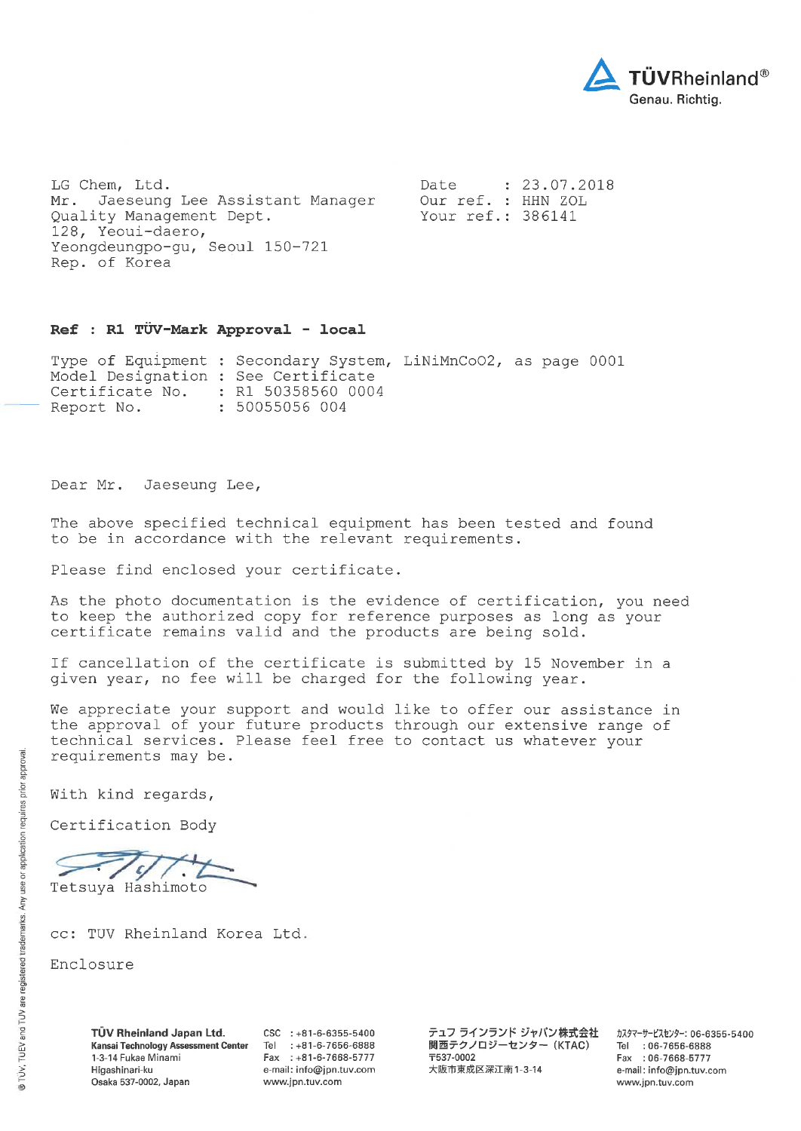

LG Chem, Ltd. Mr. Jaeseung Lee Assistant Manager Quality Management Dept. 128, Yeoui-daero, Yeongdeungpo-gu, Seoul 150-721 Rep. of Korea

 $: 23.07.2018$ Date Our ref. : HHN ZOL Your ref.: 386141

#### Ref : R1 TÜV-Mark Approval - local

Type of Equipment : Secondary System, LiNiMnCoO2, as page 0001 Model Designation : See Certificate : R1 50358560 0004 Certificate No. Report No. : 50055056 004

Dear Mr. Jaeseung Lee,

The above specified technical equipment has been tested and found to be in accordance with the relevant requirements.

Please find enclosed your certificate.

As the photo documentation is the evidence of certification, you need to keep the authorized copy for reference purposes as long as your certificate remains valid and the products are being sold.

If cancellation of the certificate is submitted by 15 November in a given year, no fee will be charged for the following year.

We appreciate your support and would like to offer our assistance in the approval of your future products through our extensive range of technical services. Please feel free to contact us whatever your requirements may be.

With kind regards,

Certification Body

ς Tetsuya Hashimoto

cc: TUV Rheinland Korea Ltd.

Enclosure

TÜV Rheinland Japan Ltd. Kansai Technology Assessment Center 1-3-14 Fukae Minami Higashinari-ku Osaka 537-0002, Japan

 $CSC$  : +81-6-6355-5400 Tel : +81-6-7656-6888 Fax: +81-6-7668-5777 e-mail: info@jpn.tuv.com www.jpn.tuv.com

テュフ ラインランド ジャパン株式会社 関西テクノロジーセンター (KTAC) **T537-0002** 大阪市東成区深江南1-3-14

カスタマーサービスセンター: 06-6355-5400 Tel : 06-7656-6888 Fax: 06-7668-5777 e-mail: info@jpn.tuv.com www.jpn.tuv.com